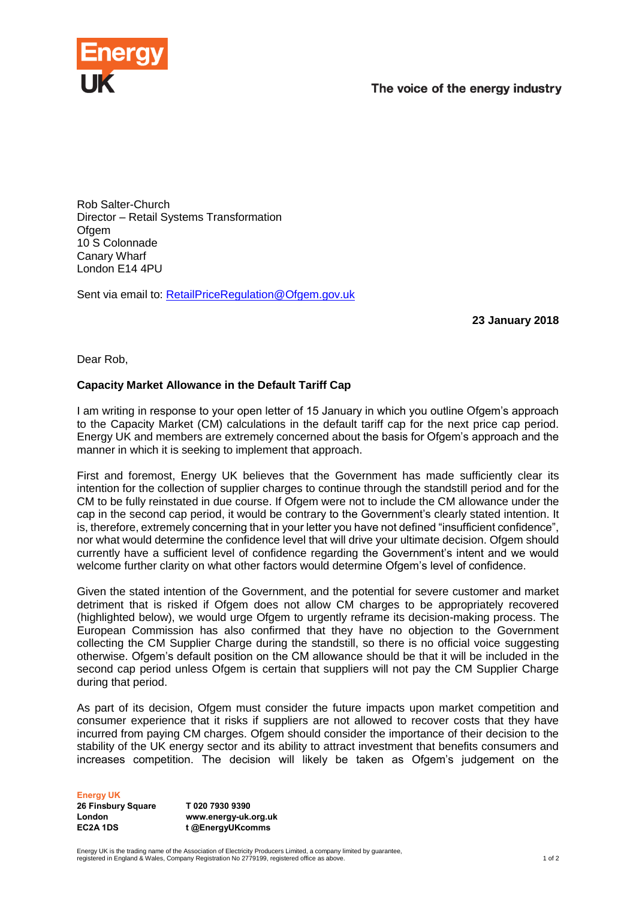

Rob Salter-Church Director – Retail Systems Transformation Ofgem 10 S Colonnade Canary Wharf London E14 4PU

Sent via email to: [RetailPriceRegulation@Ofgem.gov.uk](mailto:RetailPriceRegulation@Ofgem.gov.uk)

**23 January 2018**

Dear Rob,

## **Capacity Market Allowance in the Default Tariff Cap**

I am writing in response to your open letter of 15 January in which you outline Ofgem's approach to the Capacity Market (CM) calculations in the default tariff cap for the next price cap period. Energy UK and members are extremely concerned about the basis for Ofgem's approach and the manner in which it is seeking to implement that approach.

First and foremost, Energy UK believes that the Government has made sufficiently clear its intention for the collection of supplier charges to continue through the standstill period and for the CM to be fully reinstated in due course. If Ofgem were not to include the CM allowance under the cap in the second cap period, it would be contrary to the Government's clearly stated intention. It is, therefore, extremely concerning that in your letter you have not defined "insufficient confidence", nor what would determine the confidence level that will drive your ultimate decision. Ofgem should currently have a sufficient level of confidence regarding the Government's intent and we would welcome further clarity on what other factors would determine Ofgem's level of confidence.

Given the stated intention of the Government, and the potential for severe customer and market detriment that is risked if Ofgem does not allow CM charges to be appropriately recovered (highlighted below), we would urge Ofgem to urgently reframe its decision-making process. The European Commission has also confirmed that they have no objection to the Government collecting the CM Supplier Charge during the standstill, so there is no official voice suggesting otherwise. Ofgem's default position on the CM allowance should be that it will be included in the second cap period unless Ofgem is certain that suppliers will not pay the CM Supplier Charge during that period.

As part of its decision, Ofgem must consider the future impacts upon market competition and consumer experience that it risks if suppliers are not allowed to recover costs that they have incurred from paying CM charges. Ofgem should consider the importance of their decision to the stability of the UK energy sector and its ability to attract investment that benefits consumers and increases competition. The decision will likely be taken as Ofgem's judgement on the

**Energy UK**

**26 Finsbury Square London EC2A 1DS**

**T 020 7930 9390 www.energy-uk.org.uk t @EnergyUKcomms**

Energy UK is the trading name of the Association of Electricity Producers Limited, a company limited by guarantee,<br>registered in England & Wales, Company Registration No 2779199, registered office as above.